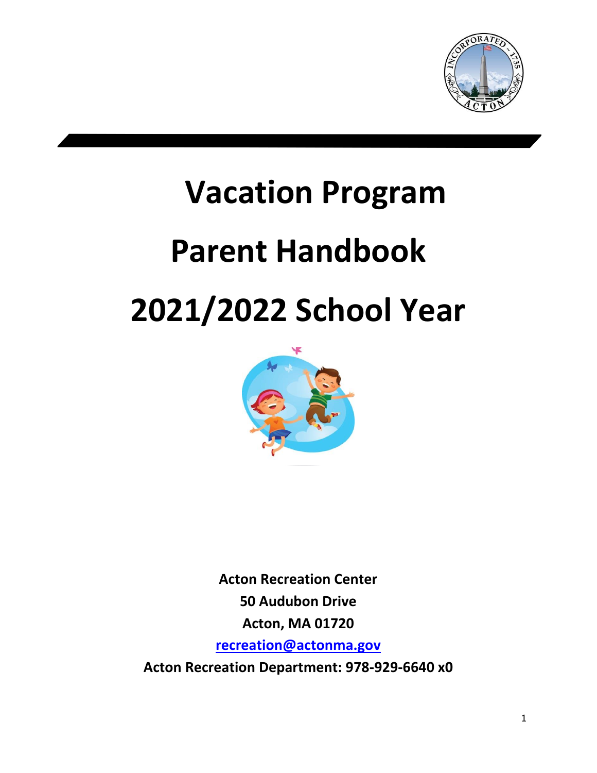

# **Vacation Program Parent Handbook 2021/2022 School Year**



**Acton Recreation Center 50 Audubon Drive Acton, MA 01720 [recreation@actonma.gov](mailto:recreation@actonma.gov) Acton Recreation Department: 978-929-6640 x0**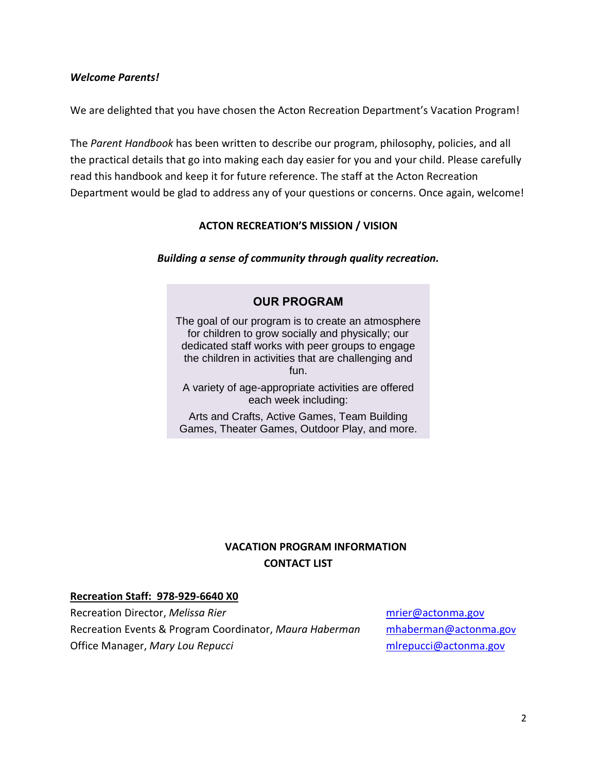#### *Welcome Parents!*

We are delighted that you have chosen the Acton Recreation Department's Vacation Program!

The *Parent Handbook* has been written to describe our program, philosophy, policies, and all the practical details that go into making each day easier for you and your child. Please carefully read this handbook and keep it for future reference. The staff at the Acton Recreation Department would be glad to address any of your questions or concerns. Once again, welcome!

#### **ACTON RECREATION'S MISSION / VISION**

*Building a sense of community through quality recreation.*

## **OUR PROGRAM**

The goal of our program is to create an atmosphere for children to grow socially and physically; our dedicated staff works with peer groups to engage the children in activities that are challenging and fun.

A variety of age-appropriate activities are offered each week including:

Arts and Crafts, Active Games, Team Building Games, Theater Games, Outdoor Play, and more.

# **VACATION PROGRAM INFORMATION CONTACT LIST**

#### **Recreation Staff: 978-929-6640 X0**

Recreation Director, *Melissa Rier* metal metal manufactor manufactor manufactor manufactor manufactor manufactor Recreation Events & Program Coordinator, *Maura Haberman* [mhaberman@actonma.go](mailto:mhaberman@actonma.gov)v Office Manager, *Mary Lou Repucci* entertainment and management of milrepucci@actonma.gov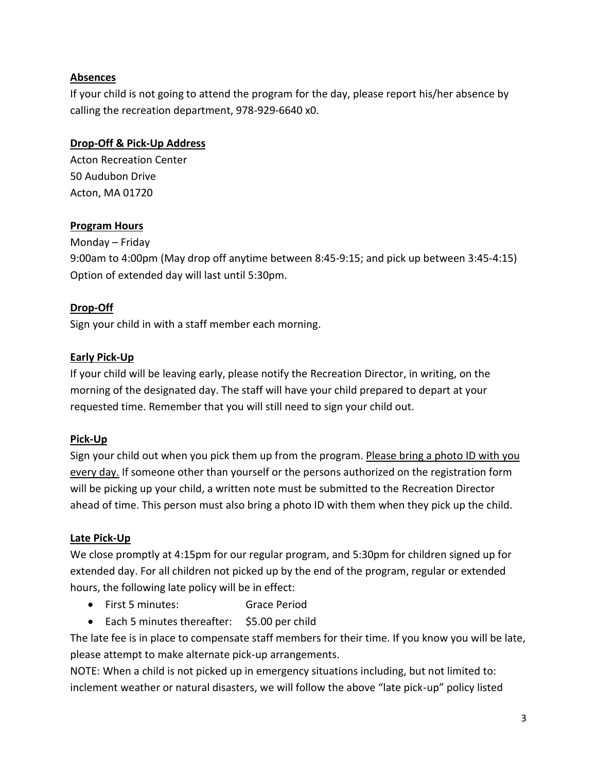## **Absences**

If your child is not going to attend the program for the day, please report his/her absence by calling the recreation department, 978-929-6640 x0.

#### **Drop-Off & Pick-Up Address**

Acton Recreation Center 50 Audubon Drive Acton, MA 01720

## **Program Hours**

Monday – Friday

9:00am to 4:00pm (May drop off anytime between 8:45-9:15; and pick up between 3:45-4:15) Option of extended day will last until 5:30pm.

## **Drop-Off**

Sign your child in with a staff member each morning.

## **Early Pick-Up**

If your child will be leaving early, please notify the Recreation Director, in writing, on the morning of the designated day. The staff will have your child prepared to depart at your requested time. Remember that you will still need to sign your child out.

## **Pick-Up**

Sign your child out when you pick them up from the program. Please bring a photo ID with you every day. If someone other than yourself or the persons authorized on the registration form will be picking up your child, a written note must be submitted to the Recreation Director ahead of time. This person must also bring a photo ID with them when they pick up the child.

## **Late Pick-Up**

We close promptly at 4:15pm for our regular program, and 5:30pm for children signed up for extended day. For all children not picked up by the end of the program, regular or extended hours, the following late policy will be in effect:

- First 5 minutes: Grace Period
- Each 5 minutes thereafter: \$5.00 per child

The late fee is in place to compensate staff members for their time. If you know you will be late, please attempt to make alternate pick-up arrangements.

NOTE: When a child is not picked up in emergency situations including, but not limited to: inclement weather or natural disasters, we will follow the above "late pick-up" policy listed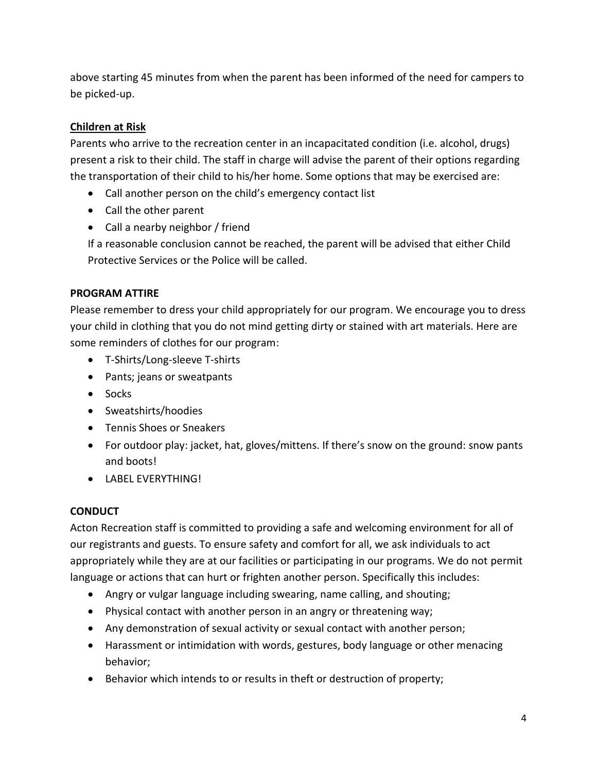above starting 45 minutes from when the parent has been informed of the need for campers to be picked-up.

# **Children at Risk**

Parents who arrive to the recreation center in an incapacitated condition (i.e. alcohol, drugs) present a risk to their child. The staff in charge will advise the parent of their options regarding the transportation of their child to his/her home. Some options that may be exercised are:

- Call another person on the child's emergency contact list
- Call the other parent
- Call a nearby neighbor / friend

If a reasonable conclusion cannot be reached, the parent will be advised that either Child Protective Services or the Police will be called.

## **PROGRAM ATTIRE**

Please remember to dress your child appropriately for our program. We encourage you to dress your child in clothing that you do not mind getting dirty or stained with art materials. Here are some reminders of clothes for our program:

- T-Shirts/Long-sleeve T-shirts
- Pants; jeans or sweatpants
- Socks
- Sweatshirts/hoodies
- Tennis Shoes or Sneakers
- For outdoor play: jacket, hat, gloves/mittens. If there's snow on the ground: snow pants and boots!
- LABEL EVERYTHING!

## **CONDUCT**

Acton Recreation staff is committed to providing a safe and welcoming environment for all of our registrants and guests. To ensure safety and comfort for all, we ask individuals to act appropriately while they are at our facilities or participating in our programs. We do not permit language or actions that can hurt or frighten another person. Specifically this includes:

- Angry or vulgar language including swearing, name calling, and shouting;
- Physical contact with another person in an angry or threatening way;
- Any demonstration of sexual activity or sexual contact with another person;
- Harassment or intimidation with words, gestures, body language or other menacing behavior;
- Behavior which intends to or results in theft or destruction of property;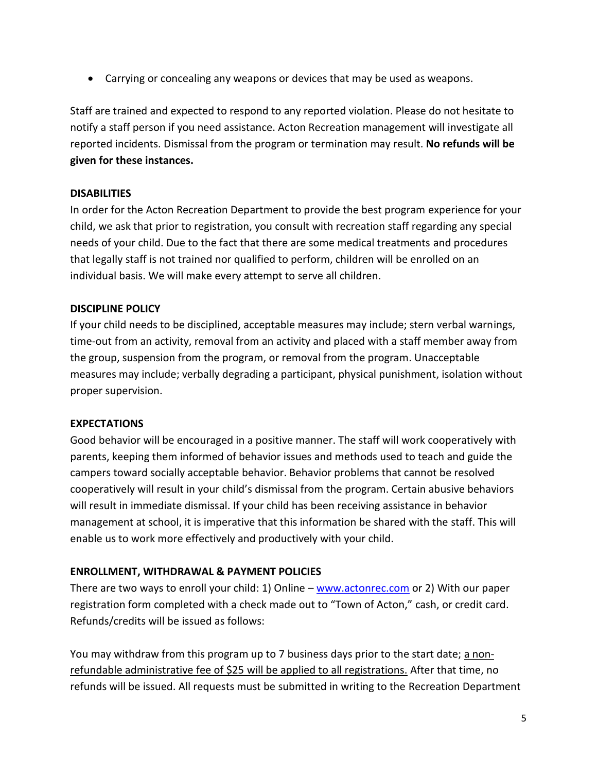• Carrying or concealing any weapons or devices that may be used as weapons.

Staff are trained and expected to respond to any reported violation. Please do not hesitate to notify a staff person if you need assistance. Acton Recreation management will investigate all reported incidents. Dismissal from the program or termination may result. **No refunds will be given for these instances.**

## **DISABILITIES**

In order for the Acton Recreation Department to provide the best program experience for your child, we ask that prior to registration, you consult with recreation staff regarding any special needs of your child. Due to the fact that there are some medical treatments and procedures that legally staff is not trained nor qualified to perform, children will be enrolled on an individual basis. We will make every attempt to serve all children.

## **DISCIPLINE POLICY**

If your child needs to be disciplined, acceptable measures may include; stern verbal warnings, time-out from an activity, removal from an activity and placed with a staff member away from the group, suspension from the program, or removal from the program. Unacceptable measures may include; verbally degrading a participant, physical punishment, isolation without proper supervision.

# **EXPECTATIONS**

Good behavior will be encouraged in a positive manner. The staff will work cooperatively with parents, keeping them informed of behavior issues and methods used to teach and guide the campers toward socially acceptable behavior. Behavior problems that cannot be resolved cooperatively will result in your child's dismissal from the program. Certain abusive behaviors will result in immediate dismissal. If your child has been receiving assistance in behavior management at school, it is imperative that this information be shared with the staff. This will enable us to work more effectively and productively with your child.

# **ENROLLMENT, WITHDRAWAL & PAYMENT POLICIES**

There are two ways to enroll your child: 1) Online – [www.actonrec.com](http://www.actonrec.com/) or 2) With our paper registration form completed with a check made out to "Town of Acton," cash, or credit card. Refunds/credits will be issued as follows:

You may withdraw from this program up to 7 business days prior to the start date; a nonrefundable administrative fee of \$25 will be applied to all registrations. After that time, no refunds will be issued. All requests must be submitted in writing to the Recreation Department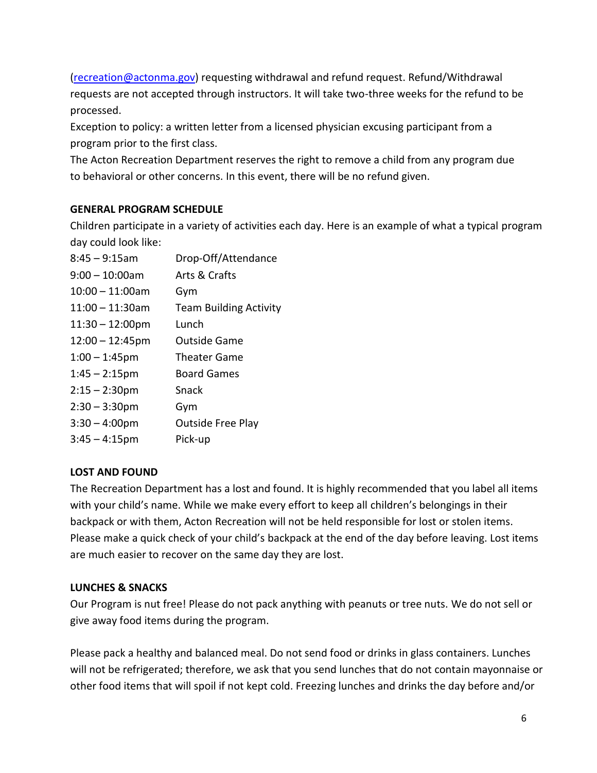[\(recreation@actonma.gov\)](mailto:recreation@actonma.gov) requesting withdrawal and refund request. Refund/Withdrawal requests are not accepted through instructors. It will take two-three weeks for the refund to be processed.

Exception to policy: a written letter from a licensed physician excusing participant from a program prior to the first class.

The Acton Recreation Department reserves the right to remove a child from any program due to behavioral or other concerns. In this event, there will be no refund given.

## **GENERAL PROGRAM SCHEDULE**

Children participate in a variety of activities each day. Here is an example of what a typical program day could look like:

| $8:45 - 9:15$ am          | Drop-Off/Attendance           |
|---------------------------|-------------------------------|
| $9:00 - 10:00$ am         | Arts & Crafts                 |
| $10:00 - 11:00$ am        | Gym                           |
| $11:00 - 11:30$ am        | <b>Team Building Activity</b> |
| $11:30 - 12:00 \text{pm}$ | Lunch                         |
| $12:00 - 12:45$ pm        | <b>Outside Game</b>           |
| $1:00 - 1:45$ pm          | <b>Theater Game</b>           |
| $1:45 - 2:15$ pm          | <b>Board Games</b>            |
| $2:15 - 2:30$ pm          | Snack                         |
| $2:30 - 3:30$ pm          | Gym                           |
| $3:30 - 4:00$ pm          | <b>Outside Free Play</b>      |
| $3:45 - 4:15$ pm          | Pick-up                       |

## **LOST AND FOUND**

The Recreation Department has a lost and found. It is highly recommended that you label all items with your child's name. While we make every effort to keep all children's belongings in their backpack or with them, Acton Recreation will not be held responsible for lost or stolen items. Please make a quick check of your child's backpack at the end of the day before leaving. Lost items are much easier to recover on the same day they are lost.

## **LUNCHES & SNACKS**

Our Program is nut free! Please do not pack anything with peanuts or tree nuts. We do not sell or give away food items during the program.

Please pack a healthy and balanced meal. Do not send food or drinks in glass containers. Lunches will not be refrigerated; therefore, we ask that you send lunches that do not contain mayonnaise or other food items that will spoil if not kept cold. Freezing lunches and drinks the day before and/or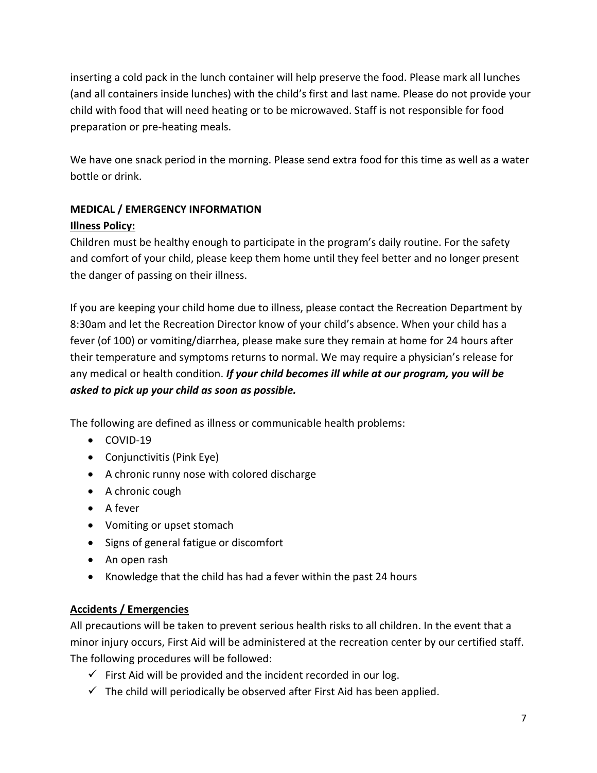inserting a cold pack in the lunch container will help preserve the food. Please mark all lunches (and all containers inside lunches) with the child's first and last name. Please do not provide your child with food that will need heating or to be microwaved. Staff is not responsible for food preparation or pre-heating meals.

We have one snack period in the morning. Please send extra food for this time as well as a water bottle or drink.

# **MEDICAL / EMERGENCY INFORMATION Illness Policy:**

Children must be healthy enough to participate in the program's daily routine. For the safety and comfort of your child, please keep them home until they feel better and no longer present the danger of passing on their illness.

If you are keeping your child home due to illness, please contact the Recreation Department by 8:30am and let the Recreation Director know of your child's absence. When your child has a fever (of 100) or vomiting/diarrhea, please make sure they remain at home for 24 hours after their temperature and symptoms returns to normal. We may require a physician's release for any medical or health condition. *If your child becomes ill while at our program, you will be asked to pick up your child as soon as possible.*

The following are defined as illness or communicable health problems:

- COVID-19
- Conjunctivitis (Pink Eye)
- A chronic runny nose with colored discharge
- A chronic cough
- A fever
- Vomiting or upset stomach
- Signs of general fatigue or discomfort
- An open rash
- Knowledge that the child has had a fever within the past 24 hours

# **Accidents / Emergencies**

All precautions will be taken to prevent serious health risks to all children. In the event that a minor injury occurs, First Aid will be administered at the recreation center by our certified staff. The following procedures will be followed:

- $\checkmark$  First Aid will be provided and the incident recorded in our log.
- $\checkmark$  The child will periodically be observed after First Aid has been applied.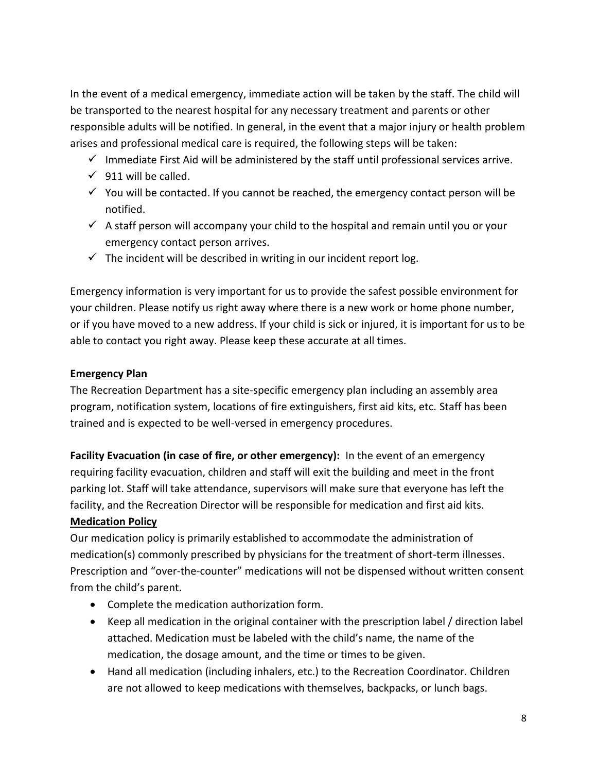In the event of a medical emergency, immediate action will be taken by the staff. The child will be transported to the nearest hospital for any necessary treatment and parents or other responsible adults will be notified. In general, in the event that a major injury or health problem arises and professional medical care is required, the following steps will be taken:

- $\checkmark$  Immediate First Aid will be administered by the staff until professional services arrive.
- $\checkmark$  911 will be called.
- $\checkmark$  You will be contacted. If you cannot be reached, the emergency contact person will be notified.
- $\checkmark$  A staff person will accompany your child to the hospital and remain until you or your emergency contact person arrives.
- $\checkmark$  The incident will be described in writing in our incident report log.

Emergency information is very important for us to provide the safest possible environment for your children. Please notify us right away where there is a new work or home phone number, or if you have moved to a new address. If your child is sick or injured, it is important for us to be able to contact you right away. Please keep these accurate at all times.

## **Emergency Plan**

The Recreation Department has a site-specific emergency plan including an assembly area program, notification system, locations of fire extinguishers, first aid kits, etc. Staff has been trained and is expected to be well-versed in emergency procedures.

**Facility Evacuation (in case of fire, or other emergency):** In the event of an emergency requiring facility evacuation, children and staff will exit the building and meet in the front parking lot. Staff will take attendance, supervisors will make sure that everyone has left the facility, and the Recreation Director will be responsible for medication and first aid kits. **Medication Policy**

Our medication policy is primarily established to accommodate the administration of medication(s) commonly prescribed by physicians for the treatment of short-term illnesses. Prescription and "over-the-counter" medications will not be dispensed without written consent from the child's parent.

- Complete the medication authorization form.
- Keep all medication in the original container with the prescription label / direction label attached. Medication must be labeled with the child's name, the name of the medication, the dosage amount, and the time or times to be given.
- Hand all medication (including inhalers, etc.) to the Recreation Coordinator. Children are not allowed to keep medications with themselves, backpacks, or lunch bags.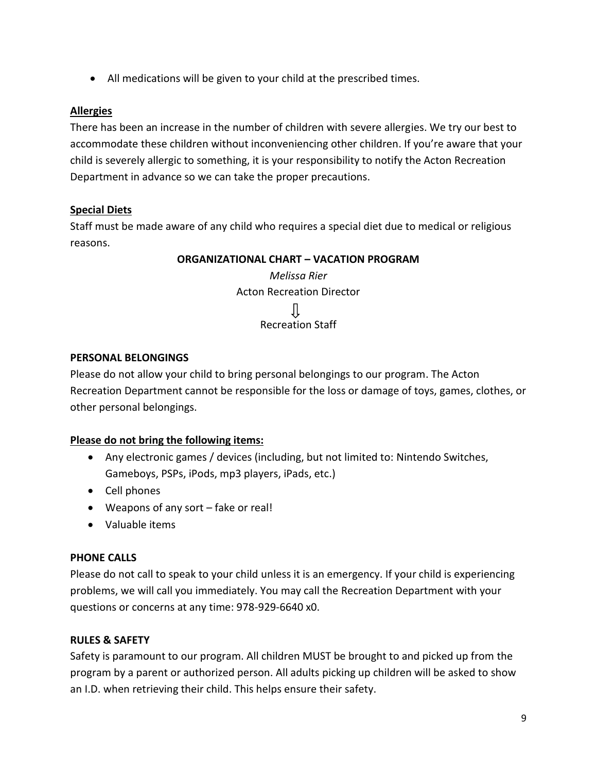• All medications will be given to your child at the prescribed times.

#### **Allergies**

There has been an increase in the number of children with severe allergies. We try our best to accommodate these children without inconveniencing other children. If you're aware that your child is severely allergic to something, it is your responsibility to notify the Acton Recreation Department in advance so we can take the proper precautions.

## **Special Diets**

Staff must be made aware of any child who requires a special diet due to medical or religious reasons.

#### **ORGANIZATIONAL CHART – VACATION PROGRAM**

*Melissa Rier* Acton Recreation Director JĻ Recreation Staff

#### **PERSONAL BELONGINGS**

Please do not allow your child to bring personal belongings to our program. The Acton Recreation Department cannot be responsible for the loss or damage of toys, games, clothes, or other personal belongings.

## **Please do not bring the following items:**

- Any electronic games / devices (including, but not limited to: Nintendo Switches, Gameboys, PSPs, iPods, mp3 players, iPads, etc.)
- Cell phones
- Weapons of any sort fake or real!
- Valuable items

#### **PHONE CALLS**

Please do not call to speak to your child unless it is an emergency. If your child is experiencing problems, we will call you immediately. You may call the Recreation Department with your questions or concerns at any time: 978-929-6640 x0.

#### **RULES & SAFETY**

Safety is paramount to our program. All children MUST be brought to and picked up from the program by a parent or authorized person. All adults picking up children will be asked to show an I.D. when retrieving their child. This helps ensure their safety.